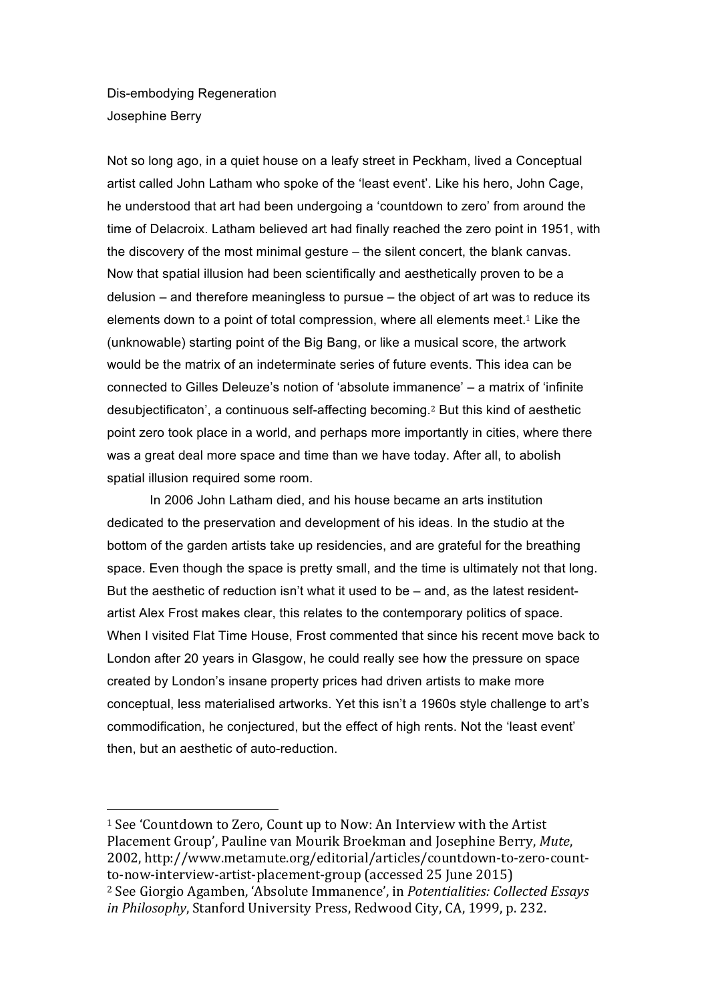Dis-embodying Regeneration Josephine Berry

 

Not so long ago, in a quiet house on a leafy street in Peckham, lived a Conceptual artist called John Latham who spoke of the 'least event'. Like his hero, John Cage, he understood that art had been undergoing a 'countdown to zero' from around the time of Delacroix. Latham believed art had finally reached the zero point in 1951, with the discovery of the most minimal gesture – the silent concert, the blank canvas. Now that spatial illusion had been scientifically and aesthetically proven to be a delusion – and therefore meaningless to pursue – the object of art was to reduce its elements down to a point of total compression, where all elements meet.<sup>1</sup> Like the (unknowable) starting point of the Big Bang, or like a musical score, the artwork would be the matrix of an indeterminate series of future events. This idea can be connected to Gilles Deleuze's notion of 'absolute immanence' – a matrix of 'infinite desubjectificaton', a continuous self-affecting becoming.2 But this kind of aesthetic point zero took place in a world, and perhaps more importantly in cities, where there was a great deal more space and time than we have today. After all, to abolish spatial illusion required some room.

In 2006 John Latham died, and his house became an arts institution dedicated to the preservation and development of his ideas. In the studio at the bottom of the garden artists take up residencies, and are grateful for the breathing space. Even though the space is pretty small, and the time is ultimately not that long. But the aesthetic of reduction isn't what it used to be – and, as the latest residentartist Alex Frost makes clear, this relates to the contemporary politics of space. When I visited Flat Time House, Frost commented that since his recent move back to London after 20 years in Glasgow, he could really see how the pressure on space created by London's insane property prices had driven artists to make more conceptual, less materialised artworks. Yet this isn't a 1960s style challenge to art's commodification, he conjectured, but the effect of high rents. Not the 'least event' then, but an aesthetic of auto-reduction.

 $1$  See 'Countdown to Zero, Count up to Now: An Interview with the Artist Placement Group', Pauline van Mourik Broekman and Josephine Berry, Mute, 2002, http://www.metamute.org/editorial/articles/countdown-to-zero-countto-now-interview-artist-placement-group (accessed 25 June 2015) <sup>2</sup> See Giorgio Agamben, 'Absolute Immanence', in *Potentialities: Collected Essays in Philosophy*, Stanford University Press, Redwood City, CA, 1999, p. 232.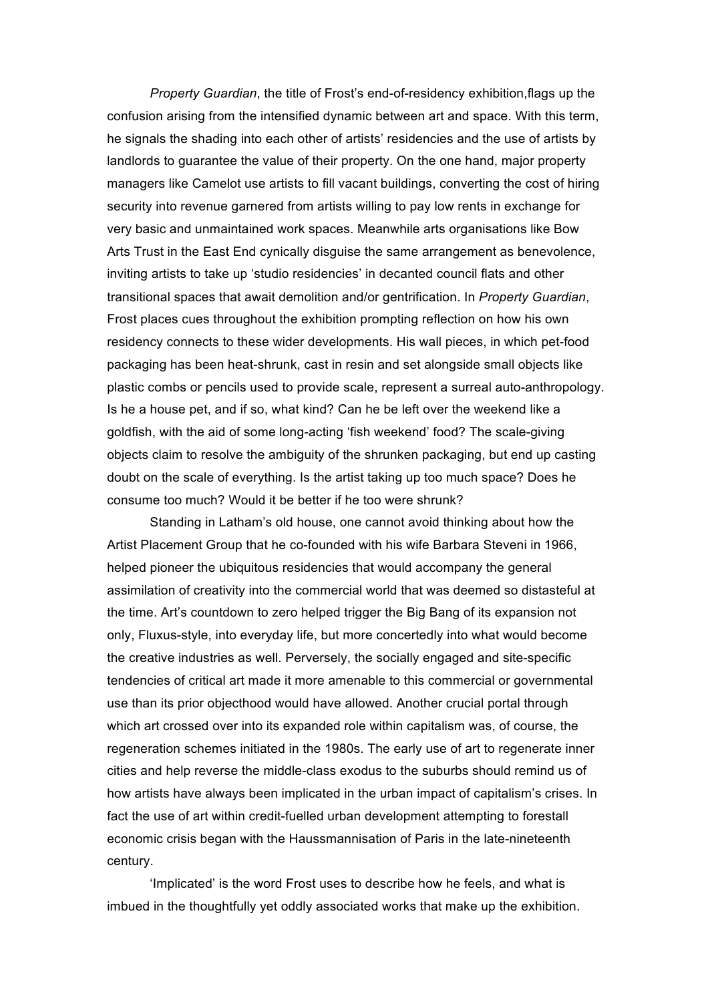*Property Guardian*, the title of Frost's end-of-residency exhibition,flags up the confusion arising from the intensified dynamic between art and space. With this term, he signals the shading into each other of artists' residencies and the use of artists by landlords to guarantee the value of their property. On the one hand, major property managers like Camelot use artists to fill vacant buildings, converting the cost of hiring security into revenue garnered from artists willing to pay low rents in exchange for very basic and unmaintained work spaces. Meanwhile arts organisations like Bow Arts Trust in the East End cynically disguise the same arrangement as benevolence, inviting artists to take up 'studio residencies' in decanted council flats and other transitional spaces that await demolition and/or gentrification. In *Property Guardian*, Frost places cues throughout the exhibition prompting reflection on how his own residency connects to these wider developments. His wall pieces, in which pet-food packaging has been heat-shrunk, cast in resin and set alongside small objects like plastic combs or pencils used to provide scale, represent a surreal auto-anthropology. Is he a house pet, and if so, what kind? Can he be left over the weekend like a goldfish, with the aid of some long-acting 'fish weekend' food? The scale-giving objects claim to resolve the ambiguity of the shrunken packaging, but end up casting doubt on the scale of everything. Is the artist taking up too much space? Does he consume too much? Would it be better if he too were shrunk?

Standing in Latham's old house, one cannot avoid thinking about how the Artist Placement Group that he co-founded with his wife Barbara Steveni in 1966, helped pioneer the ubiquitous residencies that would accompany the general assimilation of creativity into the commercial world that was deemed so distasteful at the time. Art's countdown to zero helped trigger the Big Bang of its expansion not only, Fluxus-style, into everyday life, but more concertedly into what would become the creative industries as well. Perversely, the socially engaged and site-specific tendencies of critical art made it more amenable to this commercial or governmental use than its prior objecthood would have allowed. Another crucial portal through which art crossed over into its expanded role within capitalism was, of course, the regeneration schemes initiated in the 1980s. The early use of art to regenerate inner cities and help reverse the middle-class exodus to the suburbs should remind us of how artists have always been implicated in the urban impact of capitalism's crises. In fact the use of art within credit-fuelled urban development attempting to forestall economic crisis began with the Haussmannisation of Paris in the late-nineteenth century.

'Implicated' is the word Frost uses to describe how he feels, and what is imbued in the thoughtfully yet oddly associated works that make up the exhibition.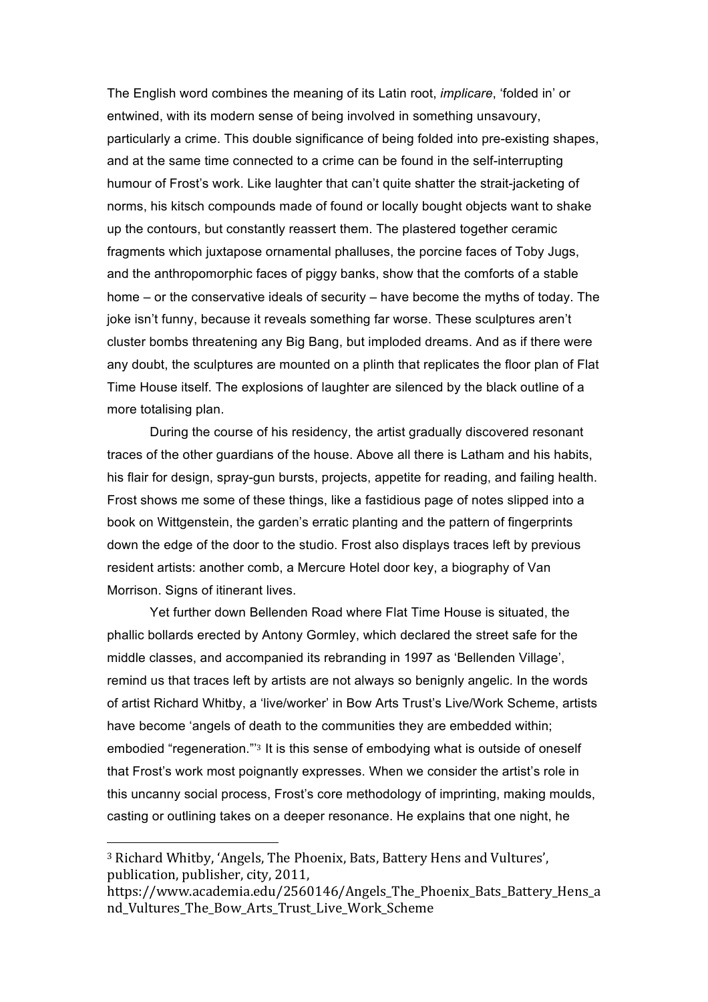The English word combines the meaning of its Latin root, *implicare*, 'folded in' or entwined, with its modern sense of being involved in something unsavoury, particularly a crime. This double significance of being folded into pre-existing shapes, and at the same time connected to a crime can be found in the self-interrupting humour of Frost's work. Like laughter that can't quite shatter the strait-jacketing of norms, his kitsch compounds made of found or locally bought objects want to shake up the contours, but constantly reassert them. The plastered together ceramic fragments which juxtapose ornamental phalluses, the porcine faces of Toby Jugs, and the anthropomorphic faces of piggy banks, show that the comforts of a stable home – or the conservative ideals of security – have become the myths of today. The joke isn't funny, because it reveals something far worse. These sculptures aren't cluster bombs threatening any Big Bang, but imploded dreams. And as if there were any doubt, the sculptures are mounted on a plinth that replicates the floor plan of Flat Time House itself. The explosions of laughter are silenced by the black outline of a more totalising plan.

During the course of his residency, the artist gradually discovered resonant traces of the other guardians of the house. Above all there is Latham and his habits, his flair for design, spray-gun bursts, projects, appetite for reading, and failing health. Frost shows me some of these things, like a fastidious page of notes slipped into a book on Wittgenstein, the garden's erratic planting and the pattern of fingerprints down the edge of the door to the studio. Frost also displays traces left by previous resident artists: another comb, a Mercure Hotel door key, a biography of Van Morrison. Signs of itinerant lives.

Yet further down Bellenden Road where Flat Time House is situated, the phallic bollards erected by Antony Gormley, which declared the street safe for the middle classes, and accompanied its rebranding in 1997 as 'Bellenden Village', remind us that traces left by artists are not always so benignly angelic. In the words of artist Richard Whitby, a 'live/worker' in Bow Arts Trust's Live/Work Scheme, artists have become 'angels of death to the communities they are embedded within; embodied "regeneration."'3 It is this sense of embodying what is outside of oneself that Frost's work most poignantly expresses. When we consider the artist's role in this uncanny social process, Frost's core methodology of imprinting, making moulds, casting or outlining takes on a deeper resonance. He explains that one night, he

 

<sup>&</sup>lt;sup>3</sup> Richard Whitby, 'Angels, The Phoenix, Bats, Battery Hens and Vultures', publication, publisher, city, 2011,

https://www.academia.edu/2560146/Angels The Phoenix Bats Battery Hens a nd Vultures The Bow Arts Trust Live Work Scheme